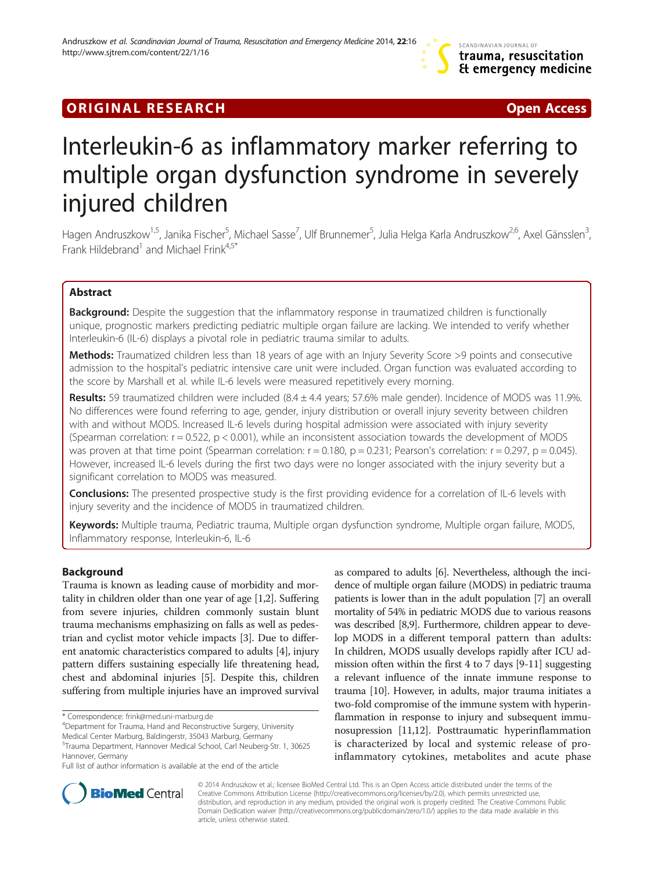# **ORIGINAL RESEARCH CONSUMING A RESEARCH CONSUMING A RESEARCH**

# Interleukin-6 as inflammatory marker referring to multiple organ dysfunction syndrome in severely injured children

Hagen Andruszkow<sup>1,5</sup>, Janika Fischer<sup>5</sup>, Michael Sasse<sup>7</sup>, Ulf Brunnemer<sup>5</sup>, Julia Helga Karla Andruszkow<sup>2,6</sup>, Axel Gänsslen<sup>3</sup> , Frank Hildebrand<sup>1</sup> and Michael Frink<sup>4,5\*</sup>

## Abstract

Background: Despite the suggestion that the inflammatory response in traumatized children is functionally unique, prognostic markers predicting pediatric multiple organ failure are lacking. We intended to verify whether Interleukin-6 (IL-6) displays a pivotal role in pediatric trauma similar to adults.

Methods: Traumatized children less than 18 years of age with an Injury Severity Score >9 points and consecutive admission to the hospital's pediatric intensive care unit were included. Organ function was evaluated according to the score by Marshall et al. while IL-6 levels were measured repetitively every morning.

**Results:** 59 traumatized children were included  $(8.4 \pm 4.4 \text{ years}; 57.6\% \text{ male gender})$ . Incidence of MODS was 11.9%. No differences were found referring to age, gender, injury distribution or overall injury severity between children with and without MODS. Increased IL-6 levels during hospital admission were associated with injury severity (Spearman correlation:  $r = 0.522$ ,  $p < 0.001$ ), while an inconsistent association towards the development of MODS was proven at that time point (Spearman correlation:  $r = 0.180$ ,  $p = 0.231$ ; Pearson's correlation:  $r = 0.297$ ,  $p = 0.045$ ). However, increased IL-6 levels during the first two days were no longer associated with the injury severity but a significant correlation to MODS was measured.

Conclusions: The presented prospective study is the first providing evidence for a correlation of IL-6 levels with injury severity and the incidence of MODS in traumatized children.

Keywords: Multiple trauma, Pediatric trauma, Multiple organ dysfunction syndrome, Multiple organ failure, MODS, Inflammatory response, Interleukin-6, IL-6

## Background

Trauma is known as leading cause of morbidity and mortality in children older than one year of age [\[1,2\]](#page-6-0). Suffering from severe injuries, children commonly sustain blunt trauma mechanisms emphasizing on falls as well as pedestrian and cyclist motor vehicle impacts [[3](#page-6-0)]. Due to different anatomic characteristics compared to adults [\[4](#page-6-0)], injury pattern differs sustaining especially life threatening head, chest and abdominal injuries [\[5](#page-6-0)]. Despite this, children suffering from multiple injuries have an improved survival

as compared to adults [\[6](#page-6-0)]. Nevertheless, although the incidence of multiple organ failure (MODS) in pediatric trauma patients is lower than in the adult population [\[7](#page-6-0)] an overall mortality of 54% in pediatric MODS due to various reasons was described [\[8,9](#page-6-0)]. Furthermore, children appear to develop MODS in a different temporal pattern than adults: In children, MODS usually develops rapidly after ICU admission often within the first 4 to 7 days [\[9-11\]](#page-6-0) suggesting a relevant influence of the innate immune response to trauma [\[10\]](#page-6-0). However, in adults, major trauma initiates a two-fold compromise of the immune system with hyperinflammation in response to injury and subsequent immunosupression [[11,12](#page-6-0)]. Posttraumatic hyperinflammation is characterized by local and systemic release of proinflammatory cytokines, metabolites and acute phase



© 2014 Andruszkow et al.; licensee BioMed Central Ltd. This is an Open Access article distributed under the terms of the Creative Commons Attribution License (<http://creativecommons.org/licenses/by/2.0>), which permits unrestricted use, distribution, and reproduction in any medium, provided the original work is properly credited. The Creative Commons Public Domain Dedication waiver [\(http://creativecommons.org/publicdomain/zero/1.0/\)](http://creativecommons.org/publicdomain/zero/1.0/) applies to the data made available in this article, unless otherwise stated.

<sup>\*</sup> Correspondence: [frink@med.uni-marburg.de](mailto:frink@med.uni-marburg.de) <sup>4</sup>

<sup>&</sup>lt;sup>4</sup>Department for Trauma, Hand and Reconstructive Surgery, University Medical Center Marburg, Baldingerstr, 35043 Marburg, Germany

<sup>5</sup> Trauma Department, Hannover Medical School, Carl Neuberg-Str. 1, 30625 Hannover, Germany

Full list of author information is available at the end of the article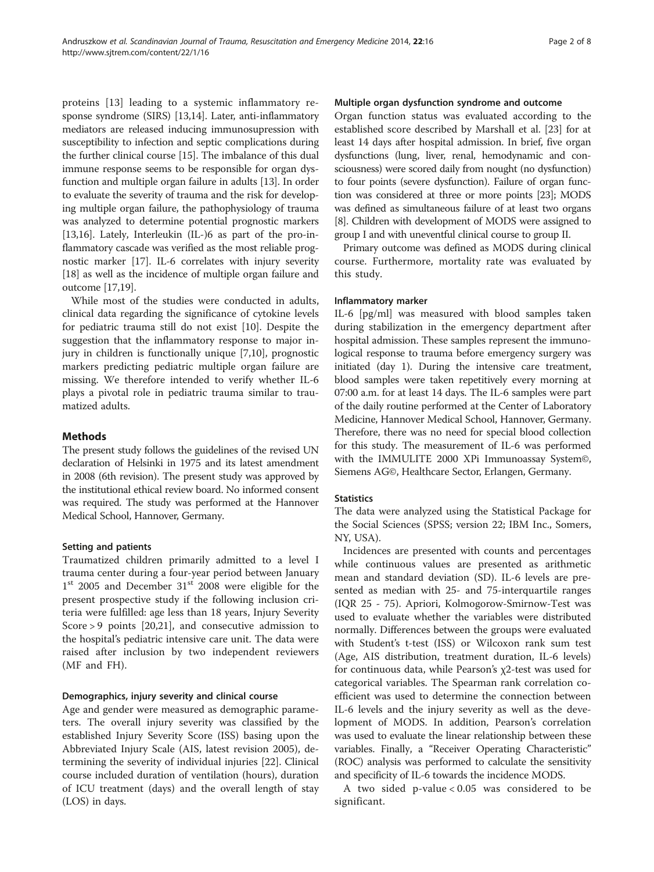proteins [\[13](#page-6-0)] leading to a systemic inflammatory response syndrome (SIRS) [\[13,](#page-6-0)[14\]](#page-7-0). Later, anti-inflammatory mediators are released inducing immunosupression with susceptibility to infection and septic complications during the further clinical course [[15](#page-7-0)]. The imbalance of this dual immune response seems to be responsible for organ dysfunction and multiple organ failure in adults [\[13\]](#page-6-0). In order to evaluate the severity of trauma and the risk for developing multiple organ failure, the pathophysiology of trauma was analyzed to determine potential prognostic markers [[13](#page-6-0)[,16](#page-7-0)]. Lately, Interleukin (IL-)6 as part of the pro-inflammatory cascade was verified as the most reliable prognostic marker [[17](#page-7-0)]. IL-6 correlates with injury severity [[18](#page-7-0)] as well as the incidence of multiple organ failure and outcome [\[17,19\]](#page-7-0).

While most of the studies were conducted in adults, clinical data regarding the significance of cytokine levels for pediatric trauma still do not exist [\[10](#page-6-0)]. Despite the suggestion that the inflammatory response to major injury in children is functionally unique [[7](#page-6-0),[10](#page-6-0)], prognostic markers predicting pediatric multiple organ failure are missing. We therefore intended to verify whether IL-6 plays a pivotal role in pediatric trauma similar to traumatized adults.

#### Methods

The present study follows the guidelines of the revised UN declaration of Helsinki in 1975 and its latest amendment in 2008 (6th revision). The present study was approved by the institutional ethical review board. No informed consent was required. The study was performed at the Hannover Medical School, Hannover, Germany.

#### Setting and patients

Traumatized children primarily admitted to a level I trauma center during a four-year period between January  $1<sup>st</sup>$  2005 and December 31 $<sup>st</sup>$  2008 were eligible for the</sup> present prospective study if the following inclusion criteria were fulfilled: age less than 18 years, Injury Severity Score > 9 points [[20,21\]](#page-7-0), and consecutive admission to the hospital's pediatric intensive care unit. The data were raised after inclusion by two independent reviewers (MF and FH).

#### Demographics, injury severity and clinical course

Age and gender were measured as demographic parameters. The overall injury severity was classified by the established Injury Severity Score (ISS) basing upon the Abbreviated Injury Scale (AIS, latest revision 2005), determining the severity of individual injuries [\[22\]](#page-7-0). Clinical course included duration of ventilation (hours), duration of ICU treatment (days) and the overall length of stay (LOS) in days.

#### Multiple organ dysfunction syndrome and outcome

Organ function status was evaluated according to the established score described by Marshall et al. [\[23](#page-7-0)] for at least 14 days after hospital admission. In brief, five organ dysfunctions (lung, liver, renal, hemodynamic and consciousness) were scored daily from nought (no dysfunction) to four points (severe dysfunction). Failure of organ function was considered at three or more points [\[23](#page-7-0)]; MODS was defined as simultaneous failure of at least two organs [[8](#page-6-0)]. Children with development of MODS were assigned to group I and with uneventful clinical course to group II.

Primary outcome was defined as MODS during clinical course. Furthermore, mortality rate was evaluated by this study.

#### Inflammatory marker

IL-6 [pg/ml] was measured with blood samples taken during stabilization in the emergency department after hospital admission. These samples represent the immunological response to trauma before emergency surgery was initiated (day 1). During the intensive care treatment, blood samples were taken repetitively every morning at 07:00 a.m. for at least 14 days. The IL-6 samples were part of the daily routine performed at the Center of Laboratory Medicine, Hannover Medical School, Hannover, Germany. Therefore, there was no need for special blood collection for this study. The measurement of IL-6 was performed with the IMMULITE 2000 XPi Immunoassay System©, Siemens AG©, Healthcare Sector, Erlangen, Germany.

#### **Statistics**

The data were analyzed using the Statistical Package for the Social Sciences (SPSS; version 22; IBM Inc., Somers, NY, USA).

Incidences are presented with counts and percentages while continuous values are presented as arithmetic mean and standard deviation (SD). IL-6 levels are presented as median with 25- and 75-interquartile ranges (IQR 25 - 75). Apriori, Kolmogorow-Smirnow-Test was used to evaluate whether the variables were distributed normally. Differences between the groups were evaluated with Student's t-test (ISS) or Wilcoxon rank sum test (Age, AIS distribution, treatment duration, IL-6 levels) for continuous data, while Pearson's χ2-test was used for categorical variables. The Spearman rank correlation coefficient was used to determine the connection between IL-6 levels and the injury severity as well as the development of MODS. In addition, Pearson's correlation was used to evaluate the linear relationship between these variables. Finally, a "Receiver Operating Characteristic" (ROC) analysis was performed to calculate the sensitivity and specificity of IL-6 towards the incidence MODS.

A two sided p-value < 0.05 was considered to be significant.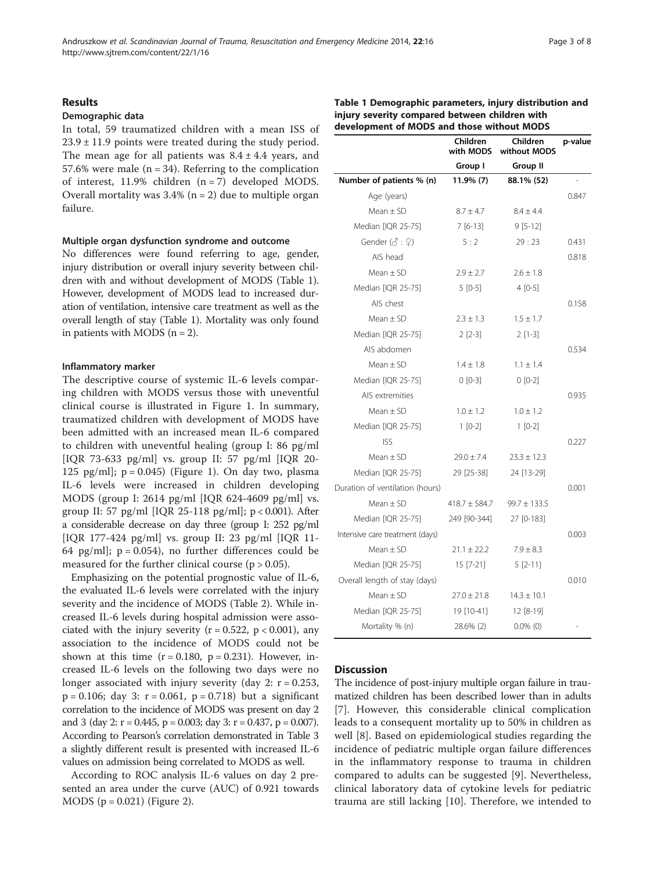#### Results

#### Demographic data

In total, 59 traumatized children with a mean ISS of  $23.9 \pm 11.9$  points were treated during the study period. The mean age for all patients was  $8.4 \pm 4.4$  years, and 57.6% were male  $(n = 34)$ . Referring to the complication of interest, 11.9% children (n = 7) developed MODS. Overall mortality was  $3.4\%$  (n = 2) due to multiple organ failure.

#### Multiple organ dysfunction syndrome and outcome

No differences were found referring to age, gender, injury distribution or overall injury severity between children with and without development of MODS (Table 1). However, development of MODS lead to increased duration of ventilation, intensive care treatment as well as the overall length of stay (Table 1). Mortality was only found in patients with MODS  $(n = 2)$ .

#### Inflammatory marker

The descriptive course of systemic IL-6 levels comparing children with MODS versus those with uneventful clinical course is illustrated in Figure [1](#page-3-0). In summary, traumatized children with development of MODS have been admitted with an increased mean IL-6 compared to children with uneventful healing (group I: 86 pg/ml [IQR 73-633 pg/ml] vs. group II: 57 pg/ml [IQR 20- 125 pg/ml];  $p = 0.045$ ) (Figure [1\)](#page-3-0). On day two, plasma IL-6 levels were increased in children developing MODS (group I: 2614 pg/ml [IQR 624-4609 pg/ml] vs. group II: 57 pg/ml [IQR 25-118 pg/ml]; p < 0.001). After a considerable decrease on day three (group I: 252 pg/ml [IQR 177-424 pg/ml] vs. group II: 23 pg/ml [IQR 11- 64 pg/ml];  $p = 0.054$ , no further differences could be measured for the further clinical course ( $p > 0.05$ ).

Emphasizing on the potential prognostic value of IL-6, the evaluated IL-6 levels were correlated with the injury severity and the incidence of MODS (Table [2\)](#page-3-0). While increased IL-6 levels during hospital admission were associated with the injury severity ( $r = 0.522$ ,  $p < 0.001$ ), any association to the incidence of MODS could not be shown at this time  $(r = 0.180, p = 0.231)$ . However, increased IL-6 levels on the following two days were no longer associated with injury severity (day 2:  $r = 0.253$ ,  $p = 0.106$ ; day 3:  $r = 0.061$ ,  $p = 0.718$ ) but a significant correlation to the incidence of MODS was present on day 2 and 3 (day 2:  $r = 0.445$ ,  $p = 0.003$ ; day 3:  $r = 0.437$ ,  $p = 0.007$ ). According to Pearson's correlation demonstrated in Table [3](#page-3-0) a slightly different result is presented with increased IL-6 values on admission being correlated to MODS as well.

According to ROC analysis IL-6 values on day 2 presented an area under the curve (AUC) of 0.921 towards MODS ( $p = 0.021$ ) (Figure [2](#page-4-0)).

| Table 1 Demographic parameters, injury distribution and |
|---------------------------------------------------------|
| injury severity compared between children with          |
| development of MODS and those without MODS              |

|                                      | Children<br>with MODS | Children<br>without MODS | p-value |
|--------------------------------------|-----------------------|--------------------------|---------|
|                                      | Group I               | Group II                 |         |
| Number of patients % (n)             | 11.9% (7)             | 88.1% (52)               |         |
| Age (years)                          |                       |                          | 0.847   |
| Mean $\pm$ SD                        | $8.7 \pm 4.7$         | $8.4 \pm 4.4$            |         |
| Median [IQR 25-75]                   | $7[6-13]$             | $9[5-12]$                |         |
| Gender $(\mathcal{E} : \mathcal{Q})$ | 5:2                   | 29:23                    | 0.431   |
| AIS head                             |                       |                          | 0.818   |
| Mean $\pm$ SD                        | $2.9 \pm 2.7$         | $2.6 \pm 1.8$            |         |
| Median [IQR 25-75]                   | $5[0-5]$              | $4[0-5]$                 |         |
| AIS chest                            |                       |                          | 0.158   |
| Mean $\pm$ SD                        | $2.3 \pm 1.3$         | $1.5 \pm 1.7$            |         |
| Median [IQR 25-75]                   | $2$ [2-3]             | $2$ [1-3]                |         |
| AIS abdomen                          |                       |                          | 0.534   |
| Mean $\pm$ SD                        | $1.4 \pm 1.8$         | $1.1 \pm 1.4$            |         |
| Median [IQR 25-75]                   | $0 [0-3]$             | $0 [0-2]$                |         |
| AIS extremities                      |                       |                          | 0.935   |
| Mean $\pm$ SD                        | $1.0 \pm 1.2$         | $1.0 \pm 1.2$            |         |
| Median [IQR 25-75]                   | $1[0-2]$              | $1 [0-2]$                |         |
| <b>ISS</b>                           |                       |                          | 0.227   |
| Mean $\pm$ SD                        | $29.0 \pm 7.4$        | $23.3 \pm 12.3$          |         |
| Median [IQR 25-75]                   | 29 [25-38]            | 24 [13-29]               |         |
| Duration of ventilation (hours)      |                       |                          | 0.001   |
| Mean $\pm$ SD                        | $418.7 \pm 584.7$     | $99.7 \pm 133.5$         |         |
| Median [IQR 25-75]                   | 249 [90-344]          | 27 [0-183]               |         |
| Intensive care treatment (days)      |                       |                          | 0.003   |
| Mean $\pm$ SD                        | $21.1 \pm 22.2$       | $7.9 \pm 8.3$            |         |
| Median [IQR 25-75]                   | $15$ [7-21]           | $5[2-11]$                |         |
| Overall length of stay (days)        |                       |                          | 0.010   |
| $Mean \pm SD$                        | $27.0 \pm 21.8$       | $14.3 \pm 10.1$          |         |
| Median [IQR 25-75]                   | 19 [10-41]            | $12 [8-19]$              |         |
| Mortality % (n)                      | 28.6% (2)             | $0.0\%$ (0)              |         |
|                                      |                       |                          |         |

#### **Discussion**

The incidence of post-injury multiple organ failure in traumatized children has been described lower than in adults [[7\]](#page-6-0). However, this considerable clinical complication leads to a consequent mortality up to 50% in children as well [[8\]](#page-6-0). Based on epidemiological studies regarding the incidence of pediatric multiple organ failure differences in the inflammatory response to trauma in children compared to adults can be suggested [[9](#page-6-0)]. Nevertheless, clinical laboratory data of cytokine levels for pediatric trauma are still lacking [\[10](#page-6-0)]. Therefore, we intended to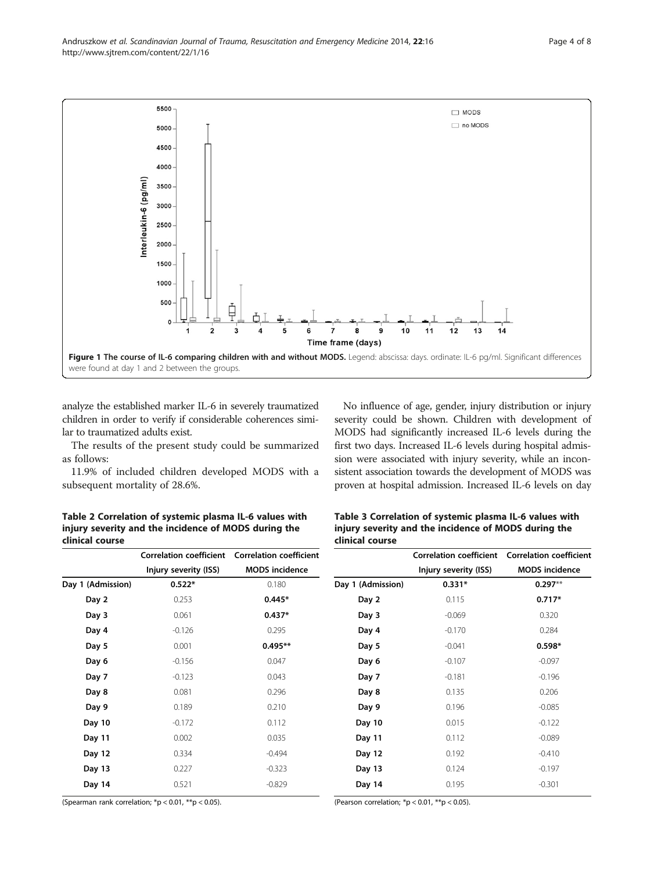analyze the established marker IL-6 in severely traumatized children in order to verify if considerable coherences similar to traumatized adults exist.

The results of the present study could be summarized as follows:

11.9% of included children developed MODS with a subsequent mortality of 28.6%.

No influence of age, gender, injury distribution or injury severity could be shown. Children with development of MODS had significantly increased IL-6 levels during the first two days. Increased IL-6 levels during hospital admission were associated with injury severity, while an inconsistent association towards the development of MODS was proven at hospital admission. Increased IL-6 levels on day

Table 2 Correlation of systemic plasma IL-6 values with injury severity and the incidence of MODS during the clinical course

|                 | Table 3 Correlation of systemic plasma IL-6 values with |  |
|-----------------|---------------------------------------------------------|--|
|                 | injury severity and the incidence of MODS during the    |  |
| clinical course |                                                         |  |
|                 |                                                         |  |

|                   | <b>Correlation coefficient</b> | <b>Correlation coefficient</b> |                   | <b>Correlation coefficient</b> | Correlation co    |
|-------------------|--------------------------------|--------------------------------|-------------------|--------------------------------|-------------------|
|                   | Injury severity (ISS)          | <b>MODS</b> incidence          |                   | Injury severity (ISS)          | <b>MODS</b> inci- |
| Day 1 (Admission) | $0.522*$                       | 0.180                          | Day 1 (Admission) | $0.331*$                       | 0.297             |
| Day 2             | 0.253                          | $0.445*$                       | Day 2             | 0.115                          | 0.717             |
| Day 3             | 0.061                          | $0.437*$                       | Day 3             | $-0.069$                       | 0.320             |
| Day 4             | $-0.126$                       | 0.295                          | Day 4             | $-0.170$                       | 0.284             |
| Day 5             | 0.001                          | $0.495**$                      | Day 5             | $-0.041$                       | 0.598             |
| Day 6             | $-0.156$                       | 0.047                          | Day 6             | $-0.107$                       | $-0.097$          |
| Day 7             | $-0.123$                       | 0.043                          | Day 7             | $-0.181$                       | $-0.196$          |
| Day 8             | 0.081                          | 0.296                          | Day 8             | 0.135                          | 0.206             |
| Day 9             | 0.189                          | 0.210                          | Day 9             | 0.196                          | $-0.085$          |
| Day 10            | $-0.172$                       | 0.112                          | Day 10            | 0.015                          | $-0.122$          |
| Day 11            | 0.002                          | 0.035                          | Day 11            | 0.112                          | $-0.089$          |
| Day 12            | 0.334                          | $-0.494$                       | Day 12            | 0.192                          | $-0.41C$          |
| Day 13            | 0.227                          | $-0.323$                       | Day 13            | 0.124                          | $-0.197$          |
| Day 14            | 0.521                          | $-0.829$                       | Day 14            | 0.195                          | $-0.301$          |
|                   |                                |                                |                   |                                |                   |

(Spearman rank correlation; \*p < 0.01, \*\*p < 0.05).

|                   | Correlation coefficient Correlation coefficient |                         |  |
|-------------------|-------------------------------------------------|-------------------------|--|
|                   | Injury severity (ISS)                           | <b>MODS</b> incidence   |  |
| Day 1 (Admission) | $0.331*$                                        | $0.297**$               |  |
| Day 2             | 0.115                                           | $0.717*$                |  |
| Day 3             | $-0.069$                                        | 0.320                   |  |
| Day 4             | $-0.170$                                        | 0.284                   |  |
| Day 5             | $-0.041$                                        | $0.598*$                |  |
| Day 6             | $-0.107$                                        | $-0.097$                |  |
| Day 7             | $-0.181$                                        | $-0.196$                |  |
| Day 8             | 0.135                                           | 0.206                   |  |
| Day 9             | 0.196                                           | $-0.085$                |  |
| Day 10            | 0.015                                           | $-0.122$                |  |
| Day 11            | 0.112                                           | $-0.089$                |  |
| Day 12            | 0.192                                           | $-0.410$                |  |
| Day 13            | 0.124                                           | $-0.197$                |  |
| <b>David</b>      | $\cap$ 1 $\cap$ $\subset$                       | $\bigcap$ 2 $\bigcap$ 1 |  |

(Pearson correlation; \*p < 0.01, \*\*p < 0.05).

<span id="page-3-0"></span>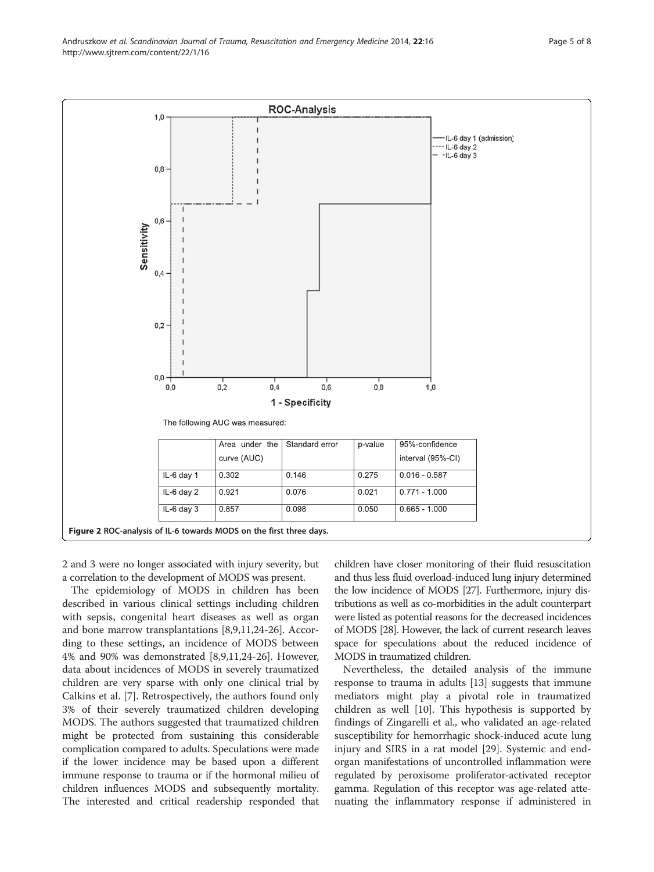<span id="page-4-0"></span>

2 and 3 were no longer associated with injury severity, but a correlation to the development of MODS was present.

The epidemiology of MODS in children has been described in various clinical settings including children with sepsis, congenital heart diseases as well as organ and bone marrow transplantations [\[8,9,11](#page-6-0)[,24-26](#page-7-0)]. According to these settings, an incidence of MODS between 4% and 90% was demonstrated [[8,9,11](#page-6-0)[,24-26](#page-7-0)]. However, data about incidences of MODS in severely traumatized children are very sparse with only one clinical trial by Calkins et al. [[7\]](#page-6-0). Retrospectively, the authors found only 3% of their severely traumatized children developing MODS. The authors suggested that traumatized children might be protected from sustaining this considerable complication compared to adults. Speculations were made if the lower incidence may be based upon a different immune response to trauma or if the hormonal milieu of children influences MODS and subsequently mortality. The interested and critical readership responded that children have closer monitoring of their fluid resuscitation and thus less fluid overload-induced lung injury determined the low incidence of MODS [\[27\]](#page-7-0). Furthermore, injury distributions as well as co-morbidities in the adult counterpart were listed as potential reasons for the decreased incidences of MODS [\[28](#page-7-0)]. However, the lack of current research leaves space for speculations about the reduced incidence of MODS in traumatized children.

Nevertheless, the detailed analysis of the immune response to trauma in adults [\[13](#page-6-0)] suggests that immune mediators might play a pivotal role in traumatized children as well [[10\]](#page-6-0). This hypothesis is supported by findings of Zingarelli et al., who validated an age-related susceptibility for hemorrhagic shock-induced acute lung injury and SIRS in a rat model [\[29](#page-7-0)]. Systemic and endorgan manifestations of uncontrolled inflammation were regulated by peroxisome proliferator-activated receptor gamma. Regulation of this receptor was age-related attenuating the inflammatory response if administered in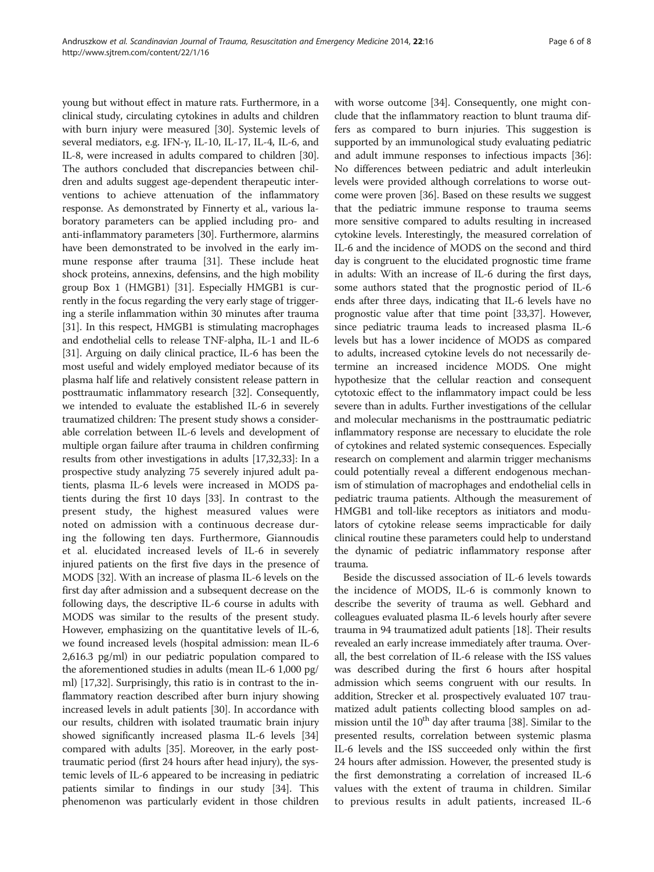young but without effect in mature rats. Furthermore, in a clinical study, circulating cytokines in adults and children with burn injury were measured [\[30](#page-7-0)]. Systemic levels of several mediators, e.g. IFN-γ, IL-10, IL-17, IL-4, IL-6, and IL-8, were increased in adults compared to children [[30](#page-7-0)]. The authors concluded that discrepancies between children and adults suggest age-dependent therapeutic interventions to achieve attenuation of the inflammatory response. As demonstrated by Finnerty et al., various laboratory parameters can be applied including pro- and anti-inflammatory parameters [\[30](#page-7-0)]. Furthermore, alarmins have been demonstrated to be involved in the early immune response after trauma [\[31\]](#page-7-0). These include heat shock proteins, annexins, defensins, and the high mobility group Box 1 (HMGB1) [\[31\]](#page-7-0). Especially HMGB1 is currently in the focus regarding the very early stage of triggering a sterile inflammation within 30 minutes after trauma [[31](#page-7-0)]. In this respect, HMGB1 is stimulating macrophages and endothelial cells to release TNF-alpha, IL-1 and IL-6 [[31](#page-7-0)]. Arguing on daily clinical practice, IL-6 has been the most useful and widely employed mediator because of its plasma half life and relatively consistent release pattern in posttraumatic inflammatory research [[32](#page-7-0)]. Consequently, we intended to evaluate the established IL-6 in severely traumatized children: The present study shows a considerable correlation between IL-6 levels and development of multiple organ failure after trauma in children confirming results from other investigations in adults [[17,32,33\]](#page-7-0): In a prospective study analyzing 75 severely injured adult patients, plasma IL-6 levels were increased in MODS patients during the first 10 days [\[33\]](#page-7-0). In contrast to the present study, the highest measured values were noted on admission with a continuous decrease during the following ten days. Furthermore, Giannoudis et al. elucidated increased levels of IL-6 in severely injured patients on the first five days in the presence of MODS [\[32\]](#page-7-0). With an increase of plasma IL-6 levels on the first day after admission and a subsequent decrease on the following days, the descriptive IL-6 course in adults with MODS was similar to the results of the present study. However, emphasizing on the quantitative levels of IL-6, we found increased levels (hospital admission: mean IL-6 2,616.3 pg/ml) in our pediatric population compared to the aforementioned studies in adults (mean IL-6 1,000 pg/ ml) [\[17,32\]](#page-7-0). Surprisingly, this ratio is in contrast to the inflammatory reaction described after burn injury showing increased levels in adult patients [\[30\]](#page-7-0). In accordance with our results, children with isolated traumatic brain injury showed significantly increased plasma IL-6 levels [[34](#page-7-0)] compared with adults [\[35\]](#page-7-0). Moreover, in the early posttraumatic period (first 24 hours after head injury), the systemic levels of IL-6 appeared to be increasing in pediatric patients similar to findings in our study [[34\]](#page-7-0). This phenomenon was particularly evident in those children

with worse outcome [\[34\]](#page-7-0). Consequently, one might conclude that the inflammatory reaction to blunt trauma differs as compared to burn injuries. This suggestion is supported by an immunological study evaluating pediatric and adult immune responses to infectious impacts [[36](#page-7-0)]: No differences between pediatric and adult interleukin levels were provided although correlations to worse outcome were proven [\[36\]](#page-7-0). Based on these results we suggest that the pediatric immune response to trauma seems more sensitive compared to adults resulting in increased cytokine levels. Interestingly, the measured correlation of IL-6 and the incidence of MODS on the second and third day is congruent to the elucidated prognostic time frame in adults: With an increase of IL-6 during the first days, some authors stated that the prognostic period of IL-6 ends after three days, indicating that IL-6 levels have no prognostic value after that time point [\[33,37\]](#page-7-0). However, since pediatric trauma leads to increased plasma IL-6 levels but has a lower incidence of MODS as compared to adults, increased cytokine levels do not necessarily determine an increased incidence MODS. One might hypothesize that the cellular reaction and consequent cytotoxic effect to the inflammatory impact could be less severe than in adults. Further investigations of the cellular and molecular mechanisms in the posttraumatic pediatric inflammatory response are necessary to elucidate the role of cytokines and related systemic consequences. Especially research on complement and alarmin trigger mechanisms could potentially reveal a different endogenous mechanism of stimulation of macrophages and endothelial cells in pediatric trauma patients. Although the measurement of HMGB1 and toll-like receptors as initiators and modulators of cytokine release seems impracticable for daily clinical routine these parameters could help to understand the dynamic of pediatric inflammatory response after trauma.

Beside the discussed association of IL-6 levels towards the incidence of MODS, IL-6 is commonly known to describe the severity of trauma as well. Gebhard and colleagues evaluated plasma IL-6 levels hourly after severe trauma in 94 traumatized adult patients [\[18\]](#page-7-0). Their results revealed an early increase immediately after trauma. Overall, the best correlation of IL-6 release with the ISS values was described during the first 6 hours after hospital admission which seems congruent with our results. In addition, Strecker et al. prospectively evaluated 107 traumatized adult patients collecting blood samples on admission until the  $10^{th}$  day after trauma [\[38\]](#page-7-0). Similar to the presented results, correlation between systemic plasma IL-6 levels and the ISS succeeded only within the first 24 hours after admission. However, the presented study is the first demonstrating a correlation of increased IL-6 values with the extent of trauma in children. Similar to previous results in adult patients, increased IL-6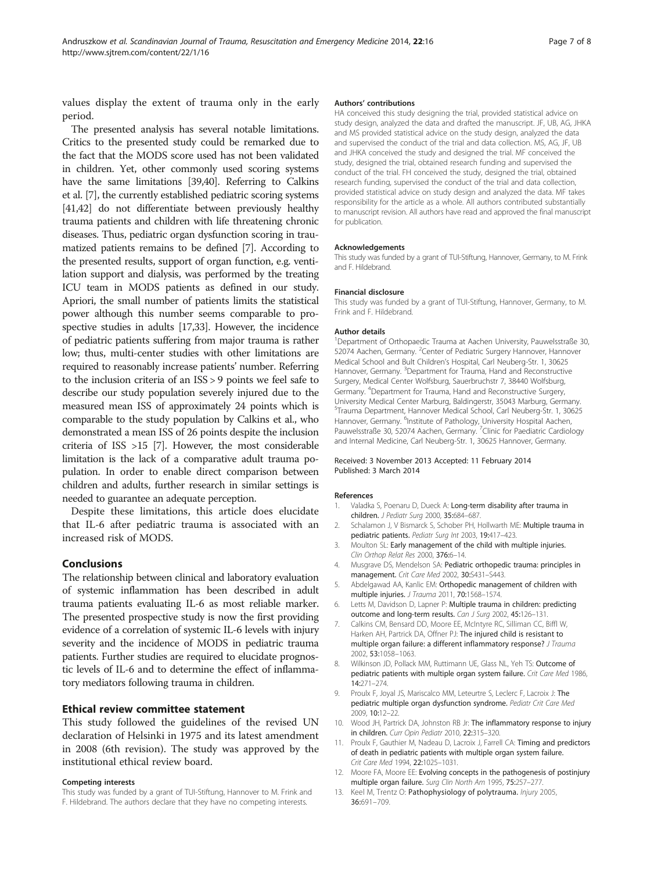<span id="page-6-0"></span>values display the extent of trauma only in the early period.

The presented analysis has several notable limitations. Critics to the presented study could be remarked due to the fact that the MODS score used has not been validated in children. Yet, other commonly used scoring systems have the same limitations [\[39,40](#page-7-0)]. Referring to Calkins et al. [7], the currently established pediatric scoring systems [[41,42\]](#page-7-0) do not differentiate between previously healthy trauma patients and children with life threatening chronic diseases. Thus, pediatric organ dysfunction scoring in traumatized patients remains to be defined [7]. According to the presented results, support of organ function, e.g. ventilation support and dialysis, was performed by the treating ICU team in MODS patients as defined in our study. Apriori, the small number of patients limits the statistical power although this number seems comparable to prospective studies in adults [[17,33\]](#page-7-0). However, the incidence of pediatric patients suffering from major trauma is rather low; thus, multi-center studies with other limitations are required to reasonably increase patients' number. Referring to the inclusion criteria of an ISS > 9 points we feel safe to describe our study population severely injured due to the measured mean ISS of approximately 24 points which is comparable to the study population by Calkins et al., who demonstrated a mean ISS of 26 points despite the inclusion criteria of ISS >15 [7]. However, the most considerable limitation is the lack of a comparative adult trauma population. In order to enable direct comparison between children and adults, further research in similar settings is needed to guarantee an adequate perception.

Despite these limitations, this article does elucidate that IL-6 after pediatric trauma is associated with an increased risk of MODS.

#### Conclusions

The relationship between clinical and laboratory evaluation of systemic inflammation has been described in adult trauma patients evaluating IL-6 as most reliable marker. The presented prospective study is now the first providing evidence of a correlation of systemic IL-6 levels with injury severity and the incidence of MODS in pediatric trauma patients. Further studies are required to elucidate prognostic levels of IL-6 and to determine the effect of inflammatory mediators following trauma in children.

#### Ethical review committee statement

This study followed the guidelines of the revised UN declaration of Helsinki in 1975 and its latest amendment in 2008 (6th revision). The study was approved by the institutional ethical review board.

#### Competing interests

This study was funded by a grant of TUI-Stiftung, Hannover to M. Frink and F. Hildebrand. The authors declare that they have no competing interests.

#### Authors' contributions

HA conceived this study designing the trial, provided statistical advice on study design, analyzed the data and drafted the manuscript. JF, UB, AG, JHKA and MS provided statistical advice on the study design, analyzed the data and supervised the conduct of the trial and data collection. MS, AG, JF, UB and JHKA conceived the study and designed the trial. MF conceived the study, designed the trial, obtained research funding and supervised the conduct of the trial. FH conceived the study, designed the trial, obtained research funding, supervised the conduct of the trial and data collection, provided statistical advice on study design and analyzed the data. MF takes responsibility for the article as a whole. All authors contributed substantially to manuscript revision. All authors have read and approved the final manuscript for publication.

#### Acknowledgements

This study was funded by a grant of TUI-Stiftung, Hannover, Germany, to M. Frink and F. Hildebrand.

#### Financial disclosure

This study was funded by a grant of TUI-Stiftung, Hannover, Germany, to M. Frink and F. Hildebrand.

#### Author details

<sup>1</sup>Department of Orthopaedic Trauma at Aachen University, Pauwelsstraße 30 52074 Aachen, Germany. <sup>2</sup> Center of Pediatric Surgery Hannover, Hannover Medical School and Bult Children's Hospital, Carl Neuberg-Str. 1, 30625 Hannover, Germany. <sup>3</sup>Department for Trauma, Hand and Reconstructive Surgery, Medical Center Wolfsburg, Sauerbruchstr 7, 38440 Wolfsburg, Germany. <sup>4</sup> Department for Trauma, Hand and Reconstructive Surgery, University Medical Center Marburg, Baldingerstr, 35043 Marburg, Germany. 5 Trauma Department, Hannover Medical School, Carl Neuberg-Str. 1, 30625 Hannover, Germany. <sup>6</sup>Institute of Pathology, University Hospital Aachen, Pauwelsstraße 30, 52074 Aachen, Germany. <sup>7</sup>Clinic for Paediatric Cardiology and Internal Medicine, Carl Neuberg-Str. 1, 30625 Hannover, Germany.

#### Received: 3 November 2013 Accepted: 11 February 2014 Published: 3 March 2014

#### References

- 1. Valadka S, Poenaru D, Dueck A: Long-term disability after trauma in children. J Pediatr Surg 2000, 35:684–687.
- 2. Schalamon J, V Bismarck S, Schober PH, Hollwarth ME: Multiple trauma in pediatric patients. Pediatr Surg Int 2003, 19:417–423.
- 3. Moulton SL: Early management of the child with multiple injuries. Clin Orthop Relat Res 2000, 376:6–14.
- 4. Musgrave DS, Mendelson SA: Pediatric orthopedic trauma: principles in management. Crit Care Med 2002, 30:S431–S443.
- 5. Abdelgawad AA, Kanlic EM: Orthopedic management of children with multiple injuries. J Trauma 2011, 70:1568–1574.
- 6. Letts M, Davidson D, Lapner P: Multiple trauma in children: predicting outcome and long-term results. Can J Surg 2002, 45:126–131.
- 7. Calkins CM, Bensard DD, Moore EE, McIntyre RC, Silliman CC, Biffl W, Harken AH, Partrick DA, Offner PJ: The injured child is resistant to multiple organ failure: a different inflammatory response? J Trauma 2002, 53:1058–1063.
- 8. Wilkinson JD, Pollack MM, Ruttimann UE, Glass NL, Yeh TS: Outcome of pediatric patients with multiple organ system failure. Crit Care Med 1986, 14:271–274.
- 9. Proulx F, Joyal JS, Mariscalco MM, Leteurtre S, Leclerc F, Lacroix J: The pediatric multiple organ dysfunction syndrome. Pediatr Crit Care Med 2009, 10:12–22.
- 10. Wood JH, Partrick DA, Johnston RB Jr: The inflammatory response to injury in children. Curr Opin Pediatr 2010, 22:315–320.
- 11. Proulx F, Gauthier M, Nadeau D, Lacroix J, Farrell CA: Timing and predictors of death in pediatric patients with multiple organ system failure. Crit Care Med 1994, 22:1025–1031.
- 12. Moore FA, Moore EE: Evolving concepts in the pathogenesis of postinjury multiple organ failure. Surg Clin North Am 1995, 75:257–277.
- 13. Keel M, Trentz O: Pathophysiology of polytrauma. Injury 2005, 36:691–709.